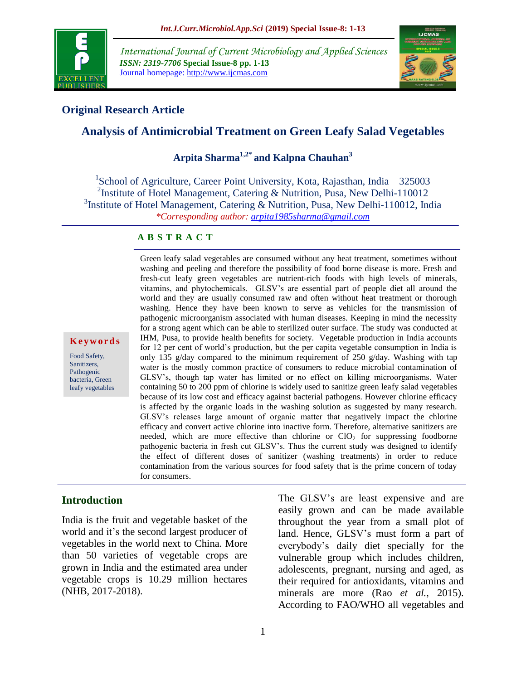

*International Journal of Current Microbiology and Applied Sciences ISSN: 2319-7706* **Special Issue-8 pp. 1-13** Journal homepage: http://www.ijcmas.com



### **Original Research Article**

## **Analysis of Antimicrobial Treatment on Green Leafy Salad Vegetables**

**Arpita Sharma1,2\* and Kalpna Chauhan<sup>3</sup>**

<sup>1</sup>School of Agriculture, Career Point University, Kota, Rajasthan, India - 325003 <sup>2</sup>Institute of Hotel Management, Catering & Nutrition, Pusa, New Delhi-110012 <sup>3</sup>Institute of Hotel Management, Catering & Nutrition, Pusa, New Delhi-110012, India *\*Corresponding author: [arpita1985sharma@gmail.com](mailto:arpita1985sharma@gmail.com)* 

#### **A B S T R A C T**

Green leafy salad vegetables are consumed without any heat treatment, sometimes without washing and peeling and therefore the possibility of food borne disease is more. Fresh and fresh-cut leafy green vegetables are nutrient-rich foods with high levels of minerals, vitamins, and phytochemicals. GLSV's are essential part of people diet all around the world and they are usually consumed raw and often without heat treatment or thorough washing. Hence they have been known to serve as vehicles for the transmission of pathogenic microorganism associated with human diseases. Keeping in mind the necessity for a strong agent which can be able to sterilized outer surface. The study was conducted at IHM, Pusa, to provide health benefits for society. Vegetable production in India accounts for 12 per cent of world's production, but the per capita vegetable consumption in India is only 135 g/day compared to the minimum requirement of 250 g/day. Washing with tap water is the mostly common practice of consumers to reduce microbial contamination of GLSV's, though tap water has limited or no effect on killing microorganisms. Water containing 50 to 200 ppm of chlorine is widely used to sanitize green leafy salad vegetables because of its low cost and efficacy against bacterial pathogens. However chlorine efficacy is affected by the organic loads in the washing solution as suggested by many research. GLSV's releases large amount of organic matter that negatively impact the chlorine efficacy and convert active chlorine into inactive form. Therefore, alternative sanitizers are needed, which are more effective than chlorine or  $ClO<sub>2</sub>$  for suppressing foodborne pathogenic bacteria in fresh cut GLSV's. Thus the current study was designed to identify the effect of different doses of sanitizer (washing treatments) in order to reduce contamination from the various sources for food safety that is the prime concern of today for consumers.

#### **Introduction**

**K e y w o r d s**

Food Safety, Sanitizers, Pathogenic bacteria, Green leafy vegetables

India is the fruit and vegetable basket of the world and it's the second largest producer of vegetables in the world next to China. More than 50 varieties of vegetable crops are grown in India and the estimated area under vegetable crops is 10.29 million hectares (NHB, 2017-2018).

The GLSV's are least expensive and are easily grown and can be made available throughout the year from a small plot of land. Hence, GLSV's must form a part of everybody's daily diet specially for the vulnerable group which includes children, adolescents, pregnant, nursing and aged, as their required for antioxidants, vitamins and minerals are more (Rao *et al.*, 2015). According to FAO/WHO all vegetables and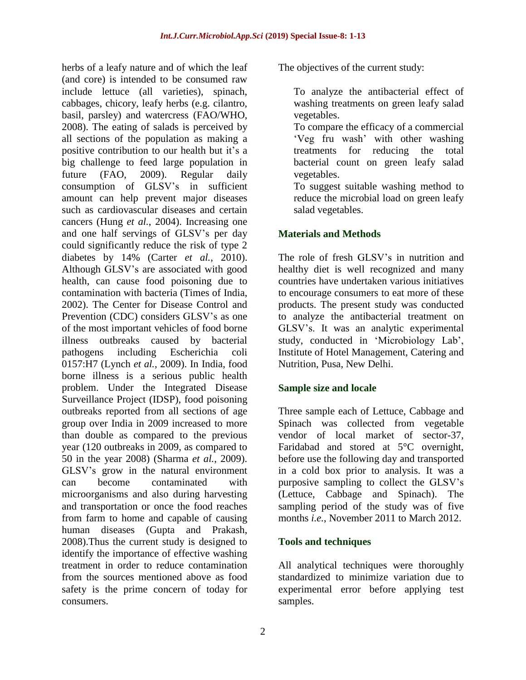herbs of a leafy nature and of which the leaf (and core) is intended to be consumed raw include lettuce (all varieties), spinach, cabbages, chicory, leafy herbs (e.g. cilantro, basil, parsley) and watercress (FAO/WHO, 2008). The eating of salads is perceived by all sections of the population as making a positive contribution to our health but it's a big challenge to feed large population in future (FAO, 2009). Regular daily consumption of GLSV's in sufficient amount can help prevent major diseases such as cardiovascular diseases and certain cancers (Hung *et al.*, 2004). Increasing one and one half servings of GLSV's per day could significantly reduce the risk of type 2 diabetes by 14% (Carter *et al.*, 2010). Although GLSV's are associated with good health, can cause food poisoning due to contamination with bacteria (Times of India, 2002). The Center for Disease Control and Prevention (CDC) considers GLSV's as one of the most important vehicles of food borne illness outbreaks caused by bacterial pathogens including Escherichia coli 0157:H7 (Lynch *et al.*, 2009). In India, food borne illness is a serious public health problem. Under the Integrated Disease Surveillance Project (IDSP), food poisoning outbreaks reported from all sections of age group over India in 2009 increased to more than double as compared to the previous year (120 outbreaks in 2009, as compared to 50 in the year 2008) (Sharma *et al.*, 2009). GLSV's grow in the natural environment can become contaminated with microorganisms and also during harvesting and transportation or once the food reaches from farm to home and capable of causing human diseases (Gupta and Prakash, 2008).Thus the current study is designed to identify the importance of effective washing treatment in order to reduce contamination from the sources mentioned above as food safety is the prime concern of today for consumers.

The objectives of the current study:

- To analyze the antibacterial effect of washing treatments on green leafy salad vegetables.
- To compare the efficacy of a commercial 'Veg fru wash' with other washing treatments for reducing the total bacterial count on green leafy salad vegetables.
- To suggest suitable washing method to reduce the microbial load on green leafy salad vegetables.

# **Materials and Methods**

The role of fresh GLSV's in nutrition and healthy diet is well recognized and many countries have undertaken various initiatives to encourage consumers to eat more of these products. The present study was conducted to analyze the antibacterial treatment on GLSV's. It was an analytic experimental study, conducted in 'Microbiology Lab', Institute of Hotel Management, Catering and Nutrition, Pusa, New Delhi.

# **Sample size and locale**

Three sample each of Lettuce, Cabbage and Spinach was collected from vegetable vendor of local market of sector-37, Faridabad and stored at 5°C overnight, before use the following day and transported in a cold box prior to analysis. It was a purposive sampling to collect the GLSV's (Lettuce, Cabbage and Spinach). The sampling period of the study was of five months *i.e.*, November 2011 to March 2012.

# **Tools and techniques**

All analytical techniques were thoroughly standardized to minimize variation due to experimental error before applying test samples.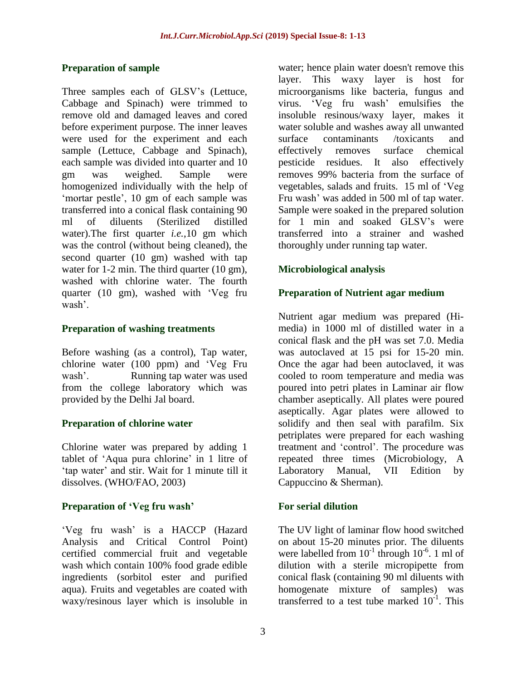### **Preparation of sample**

Three samples each of GLSV's (Lettuce, Cabbage and Spinach) were trimmed to remove old and damaged leaves and cored before experiment purpose. The inner leaves were used for the experiment and each sample (Lettuce, Cabbage and Spinach), each sample was divided into quarter and 10 gm was weighed. Sample were homogenized individually with the help of 'mortar pestle', 10 gm of each sample was transferred into a conical flask containing 90 ml of diluents (Sterilized distilled water).The first quarter *i.e.*,10 gm which was the control (without being cleaned), the second quarter (10 gm) washed with tap water for 1-2 min. The third quarter (10 gm), washed with chlorine water. The fourth quarter (10 gm), washed with 'Veg fru wash'.

### **Preparation of washing treatments**

Before washing (as a control), Tap water, chlorine water (100 ppm) and 'Veg Fru wash'. Running tap water was used from the college laboratory which was provided by the Delhi Jal board.

# **Preparation of chlorine water**

Chlorine water was prepared by adding 1 tablet of 'Aqua pura chlorine' in 1 litre of 'tap water' and stir. Wait for 1 minute till it dissolves. (WHO/FAO, 2003)

### **Preparation of 'Veg fru wash'**

'Veg fru wash' is a HACCP (Hazard Analysis and Critical Control Point) certified commercial fruit and vegetable wash which contain 100% food grade edible ingredients (sorbitol ester and purified aqua). Fruits and vegetables are coated with waxy/resinous layer which is insoluble in

water; hence plain water doesn't remove this layer. This waxy layer is host for microorganisms like bacteria, fungus and virus. 'Veg fru wash' emulsifies the insoluble resinous/waxy layer, makes it water soluble and washes away all unwanted surface contaminants /toxicants and effectively removes surface chemical pesticide residues. It also effectively removes 99% bacteria from the surface of vegetables, salads and fruits. 15 ml of 'Veg Fru wash' was added in 500 ml of tap water. Sample were soaked in the prepared solution for 1 min and soaked GLSV's were transferred into a strainer and washed thoroughly under running tap water.

# **Microbiological analysis**

### **Preparation of Nutrient agar medium**

Nutrient agar medium was prepared (Himedia) in 1000 ml of distilled water in a conical flask and the pH was set 7.0. Media was autoclaved at 15 psi for 15-20 min. Once the agar had been autoclaved, it was cooled to room temperature and media was poured into petri plates in Laminar air flow chamber aseptically. All plates were poured aseptically. Agar plates were allowed to solidify and then seal with parafilm. Six petriplates were prepared for each washing treatment and 'control'. The procedure was repeated three times (Microbiology, A Laboratory Manual, VII Edition by Cappuccino & Sherman).

## **For serial dilution**

The UV light of laminar flow hood switched on about 15-20 minutes prior. The diluents were labelled from  $10^{-1}$  through  $10^{-6}$ . 1 ml of dilution with a sterile micropipette from conical flask (containing 90 ml diluents with homogenate mixture of samples) was transferred to a test tube marked  $10^{-1}$ . This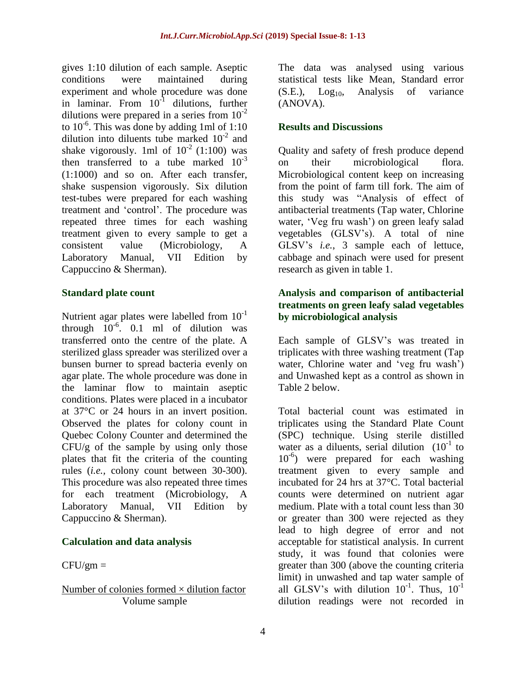gives 1:10 dilution of each sample. Aseptic conditions were maintained during experiment and whole procedure was done in laminar. From 10<sup>-1</sup> dilutions, further dilutions were prepared in a series from  $10^{-2}$ to 10-6 . This was done by adding 1ml of 1:10 dilution into diluents tube marked  $10^{-2}$  and shake vigorously. 1ml of  $10^{-2}$  (1:100) was then transferred to a tube marked  $10^{-3}$ (1:1000) and so on. After each transfer, shake suspension vigorously. Six dilution test-tubes were prepared for each washing treatment and 'control'. The procedure was repeated three times for each washing treatment given to every sample to get a consistent value (Microbiology, A Laboratory Manual, VII Edition by Cappuccino & Sherman).

### **Standard plate count**

Nutrient agar plates were labelled from  $10^{-1}$ through  $10^{-6}$ . 0.1 ml of dilution was transferred onto the centre of the plate. A sterilized glass spreader was sterilized over a bunsen burner to spread bacteria evenly on agar plate. The whole procedure was done in the laminar flow to maintain aseptic conditions. Plates were placed in a incubator at 37°C or 24 hours in an invert position. Observed the plates for colony count in Quebec Colony Counter and determined the CFU/g of the sample by using only those plates that fit the criteria of the counting rules (*i.e.,* colony count between 30-300). This procedure was also repeated three times for each treatment (Microbiology, A Laboratory Manual, VII Edition by Cappuccino & Sherman).

# **Calculation and data analysis**

 $CFU/cm =$ 

### Number of colonies formed  $\times$  dilution factor Volume sample

The data was analysed using various statistical tests like Mean, Standard error  $(S.E.), Log<sub>10</sub>, Analysis of variance$ (ANOVA).

### **Results and Discussions**

Quality and safety of fresh produce depend on their microbiological flora. Microbiological content keep on increasing from the point of farm till fork. The aim of this study was "Analysis of effect of antibacterial treatments (Tap water, Chlorine water, 'Veg fru wash') on green leafy salad vegetables (GLSV's). A total of nine GLSV's *i.e.*, 3 sample each of lettuce, cabbage and spinach were used for present research as given in table 1.

### **Analysis and comparison of antibacterial treatments on green leafy salad vegetables by microbiological analysis**

Each sample of GLSV's was treated in triplicates with three washing treatment (Tap water, Chlorine water and 'veg fru wash') and Unwashed kept as a control as shown in Table 2 below.

Total bacterial count was estimated in triplicates using the Standard Plate Count (SPC) technique. Using sterile distilled water as a diluents, serial dilution  $(10^{-1}$  to 10-6 ) were prepared for each washing treatment given to every sample and incubated for 24 hrs at 37°C. Total bacterial counts were determined on nutrient agar medium. Plate with a total count less than 30 or greater than 300 were rejected as they lead to high degree of error and not acceptable for statistical analysis. In current study, it was found that colonies were greater than 300 (above the counting criteria limit) in unwashed and tap water sample of all GLSV's with dilution  $10^{-1}$ . Thus,  $10^{-1}$ dilution readings were not recorded in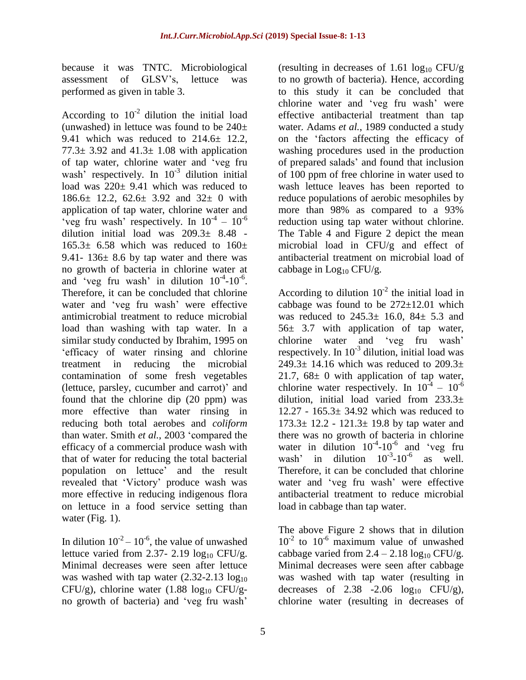because it was TNTC. Microbiological assessment of GLSV's, lettuce was performed as given in table 3.

According to  $10^{-2}$  dilution the initial load (unwashed) in lettuce was found to be  $240\pm$ 9.41 which was reduced to 214.6± 12.2, 77.3 $\pm$  3.92 and 41.3 $\pm$  1.08 with application of tap water, chlorine water and 'veg fru wash<sup>3</sup> respectively. In  $10^{-3}$  dilution initial load was  $220 \pm 9.41$  which was reduced to 186.6± 12.2, 62.6± 3.92 and 32± 0 with application of tap water, chlorine water and 'veg fru wash' respectively. In  $10^{-4}$  –  $10^{-6}$ dilution initial load was 209.3± 8.48 -  $165.3\pm 6.58$  which was reduced to  $160\pm$ 9.41-  $136 \pm 8.6$  by tap water and there was no growth of bacteria in chlorine water at and 'veg fru wash' in dilution  $10^{-4}$ - $10^{-6}$ . Therefore, it can be concluded that chlorine water and 'veg fru wash' were effective antimicrobial treatment to reduce microbial load than washing with tap water. In a similar study conducted by Ibrahim, 1995 on 'efficacy of water rinsing and chlorine treatment in reducing the microbial contamination of some fresh vegetables (lettuce, parsley, cucumber and carrot)' and found that the chlorine dip (20 ppm) was more effective than water rinsing in reducing both total aerobes and *coliform* than water. Smith *et al.*, 2003 'compared the efficacy of a commercial produce wash with that of water for reducing the total bacterial population on lettuce' and the result revealed that 'Victory' produce wash was more effective in reducing indigenous flora on lettuce in a food service setting than water (Fig. 1).

In dilution  $10^{-2} - 10^{-6}$ , the value of unwashed lettuce varied from 2.37- 2.19  $log_{10}$  CFU/g. Minimal decreases were seen after lettuce was washed with tap water  $(2.32-2.13 \log_{10}$ CFU/g), chlorine water  $(1.88 \text{ log}_{10} \text{CFU/g}$ no growth of bacteria) and 'veg fru wash'

(resulting in decreases of 1.61  $log_{10}$  CFU/g to no growth of bacteria). Hence, according to this study it can be concluded that chlorine water and 'veg fru wash' were effective antibacterial treatment than tap water. Adams *et al.*, 1989 conducted a study on the 'factors affecting the efficacy of washing procedures used in the production of prepared salads' and found that inclusion of 100 ppm of free chlorine in water used to wash lettuce leaves has been reported to reduce populations of aerobic mesophiles by more than 98% as compared to a 93% reduction using tap water without chlorine. The Table 4 and Figure 2 depict the mean microbial load in CFU/g and effect of antibacterial treatment on microbial load of cabbage in  $Log<sub>10</sub> CFU/g$ .

According to dilution  $10^{-2}$  the initial load in cabbage was found to be  $272\pm12.01$  which was reduced to  $245.3 \pm 16.0$ ,  $84 \pm 5.3$  and 56± 3.7 with application of tap water, chlorine water and 'veg fru wash' respectively. In  $10^{-3}$  dilution, initial load was 249.3 $\pm$  14.16 which was reduced to 209.3 $\pm$ 21.7,  $68 \pm 0$  with application of tap water, chlorine water respectively. In  $10^{-4} - 10^{-6}$ dilution, initial load varied from 233.3± 12.27 - 165.3± 34.92 which was reduced to 173.3± 12.2 - 121.3± 19.8 by tap water and there was no growth of bacteria in chlorine water in dilution  $10^{-4}$ - $10^{-6}$  and 'veg fru wash' in dilution  $10^{-3}$ - $10^{-6}$  as well. Therefore, it can be concluded that chlorine water and 'veg fru wash' were effective antibacterial treatment to reduce microbial load in cabbage than tap water.

The above Figure 2 shows that in dilution  $10^{-2}$  to  $10^{-6}$  maximum value of unwashed cabbage varied from  $2.4 - 2.18 \log_{10} CFU/g$ . Minimal decreases were seen after cabbage was washed with tap water (resulting in decreases of  $2.38$  -2.06  $log_{10}$  CFU/g), chlorine water (resulting in decreases of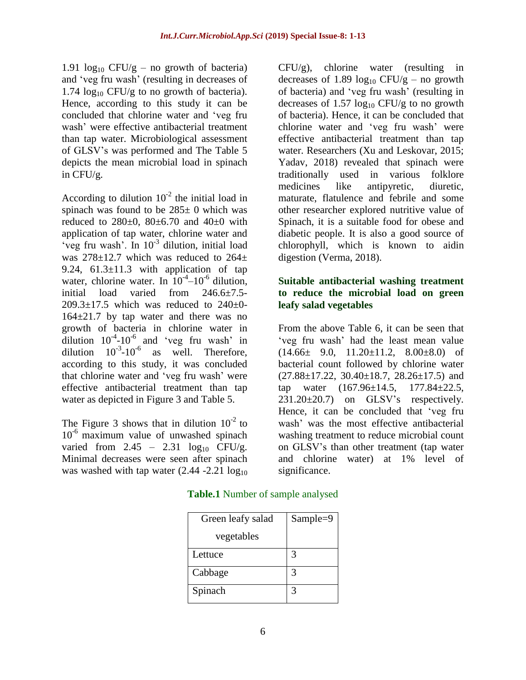1.91  $log_{10}$  CFU/g – no growth of bacteria) and 'veg fru wash' (resulting in decreases of 1.74  $log_{10}$  CFU/g to no growth of bacteria). Hence, according to this study it can be concluded that chlorine water and 'veg fru wash' were effective antibacterial treatment than tap water. Microbiological assessment of GLSV's was performed and The Table 5 depicts the mean microbial load in spinach in CFU/g.

According to dilution  $10^{-2}$  the initial load in spinach was found to be  $285\pm 0$  which was reduced to  $280\pm0$ ,  $80\pm6.70$  and  $40\pm0$  with application of tap water, chlorine water and 'veg fru wash'. In 10-3 dilution, initial load was  $278\pm12.7$  which was reduced to  $264\pm$ 9.24,  $61.3 \pm 11.3$  with application of tap water, chlorine water. In  $10^{-4}$ - $10^{-6}$  dilution, initial load varied from 246.6±7.5-  $209.3 \pm 17.5$  which was reduced to  $240 \pm 0$ -164±21.7 by tap water and there was no growth of bacteria in chlorine water in dilution  $10^{-4}$ - $10^{-6}$  and 'veg fru wash' in dilution  $10^{-3}$ - $10^{-6}$ as well. Therefore, according to this study, it was concluded that chlorine water and 'veg fru wash' were effective antibacterial treatment than tap water as depicted in Figure 3 and Table 5.

The Figure 3 shows that in dilution  $10^{-2}$  to  $10^{-6}$  maximum value of unwashed spinach varied from  $2.45 - 2.31 \log_{10}$  CFU/g. Minimal decreases were seen after spinach was washed with tap water  $(2.44 - 2.21 \log_{10}$ 

 $CFU/g$ , chlorine water (resulting in decreases of 1.89  $log_{10}$  CFU/g – no growth of bacteria) and 'veg fru wash' (resulting in decreases of  $1.57 \log_{10} CFU/g$  to no growth of bacteria). Hence, it can be concluded that chlorine water and 'veg fru wash' were effective antibacterial treatment than tap water. Researchers (Xu and Leskovar, 2015; Yadav, 2018) revealed that spinach were traditionally used in various folklore medicines like antipyretic, diuretic, maturate, flatulence and febrile and some other researcher explored nutritive value of Spinach, it is a suitable food for obese and diabetic people. It is also a good source of chlorophyll, which is known to aidin digestion (Verma, 2018).

### **Suitable antibacterial washing treatment to reduce the microbial load on green leafy salad vegetables**

From the above Table 6, it can be seen that 'veg fru wash' had the least mean value  $(14.66\pm 9.0, 11.20\pm 11.2, 8.00\pm 8.0)$  of bacterial count followed by chlorine water  $(27.88 \pm 17.22, 30.40 \pm 18.7, 28.26 \pm 17.5)$  and tap water (167.96±14.5, 177.84±22.5,  $231.20\pm20.7$  on GLSV's respectively. Hence, it can be concluded that 'veg fru wash' was the most effective antibacterial washing treatment to reduce microbial count on GLSV's than other treatment (tap water and chlorine water) at 1% level of significance.

**Table.1** Number of sample analysed

| Green leafy salad | Sample=9 |
|-------------------|----------|
| vegetables        |          |
| Lettuce           |          |
| Cabbage           |          |
| Spinach           |          |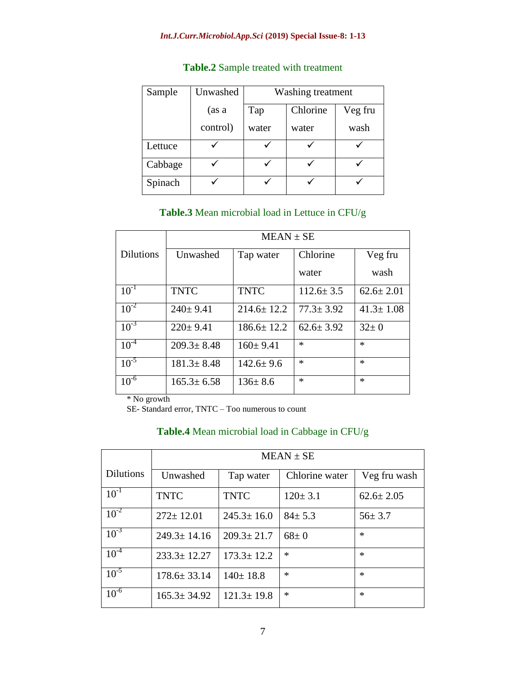#### *Int.J.Curr.Microbiol.App.Sci* **(2019) Special Issue-8: 1-13**

| Sample  | Unwashed | Washing treatment |          |         |
|---------|----------|-------------------|----------|---------|
|         | (as a    | Tap               | Chlorine | Veg fru |
|         | control) | water             | water    | wash    |
| Lettuce |          |                   |          |         |
| Cabbage |          |                   |          |         |
| Spinach |          |                   |          |         |

## **Table.2** Sample treated with treatment

### **Table.3** Mean microbial load in Lettuce in CFU/g

|                  | $MEAN \pm SE$    |                  |                 |                 |
|------------------|------------------|------------------|-----------------|-----------------|
| <b>Dilutions</b> | Unwashed         | Tap water        | Chlorine        | Veg fru         |
|                  |                  |                  | water           | wash            |
| $10^{-1}$        | <b>TNTC</b>      | <b>TNTC</b>      | $112.6 \pm 3.5$ | $62.6 \pm 2.01$ |
| $10^{-2}$        | $240 \pm 9.41$   | $214.6 \pm 12.2$ | $77.3 \pm 3.92$ | $41.3 \pm 1.08$ |
| $10^{-3}$        | $220 \pm 9.41$   | $186.6 \pm 12.2$ | $62.6 \pm 3.92$ | $32 \pm 0$      |
| $10^{-4}$        | $209.3 \pm 8.48$ | $160 \pm 9.41$   | $\ast$          | $\ast$          |
| $10^{-5}$        | $181.3 \pm 8.48$ | $142.6 \pm 9.6$  | $\ast$          | $\ast$          |
| $10^{-6}$        | $165.3 \pm 6.58$ | $136 \pm 8.6$    | $\ast$          | $\ast$          |

\* No growth

SE- Standard error, TNTC – Too numerous to count

# **Table.4** Mean microbial load in Cabbage in CFU/g

|                  | $MEAN \pm SE$     |                  |                |                 |
|------------------|-------------------|------------------|----------------|-----------------|
| <b>Dilutions</b> | Unwashed          | Tap water        | Chlorine water | Veg fru wash    |
| $10^{-1}$        | <b>TNTC</b>       | <b>TNTC</b>      | $120 \pm 3.1$  | $62.6 \pm 2.05$ |
| $10^{-2}$        | $272 \pm 12.01$   | $245.3 \pm 16.0$ | $84 \pm 5.3$   | $56 \pm 3.7$    |
| $10^{-3}$        | $249.3 \pm 14.16$ | $209.3 \pm 21.7$ | $68 \pm 0$     | $\ast$          |
| $10^{-4}$        | $233.3 \pm 12.27$ | $173.3 \pm 12.2$ | $\ast$         | $\ast$          |
| $10^{-5}$        | $178.6 \pm 33.14$ | $140 \pm 18.8$   | $\ast$         | $\ast$          |
| $10^{-6}$        | $165.3 \pm 34.92$ | $121.3 \pm 19.8$ | $\ast$         | $\ast$          |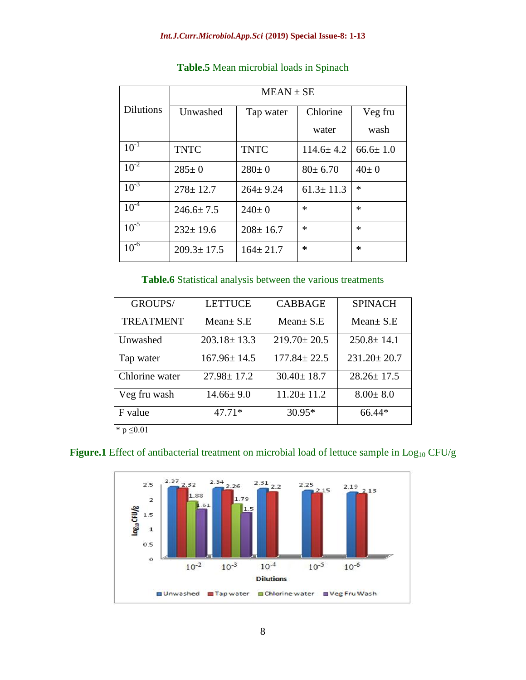|                  | $MEAN \pm SE$    |                |                 |                |
|------------------|------------------|----------------|-----------------|----------------|
| <b>Dilutions</b> | Unwashed         | Tap water      | Chlorine        | Veg fru        |
|                  |                  |                | water           | wash           |
| $10^{-1}$        | <b>TNTC</b>      | <b>TNTC</b>    | $114.6 \pm 4.2$ | $66.6 \pm 1.0$ |
| $10^{-2}$        | $285 \pm 0$      | $280 \pm 0$    | $80 \pm 6.70$   | $40 \pm 0$     |
| $10^{-3}$        | $278 \pm 12.7$   | $264 \pm 9.24$ | $61.3 \pm 11.3$ | $\ast$         |
| $10^{-4}$        | $246.6 \pm 7.5$  | $240 \pm 0$    | $\ast$          | $\ast$         |
| $10^{-5}$        | $232 \pm 19.6$   | $208 \pm 16.7$ | $\ast$          | $\ast$         |
| $10^{-6}$        | $209.3 \pm 17.5$ | $164 \pm 21.7$ | ∗               | $\ast$         |

# **Table.5** Mean microbial loads in Spinach

#### **Table.6** Statistical analysis between the various treatments

| <b>LETTUCE</b>    | <b>CABBAGE</b>    | <b>SPINACH</b>    |
|-------------------|-------------------|-------------------|
| Mean $\pm$ S.E    | Mean $\pm$ S.E    | Mean $\pm$ S.E    |
| $203.18 \pm 13.3$ | $219.70 \pm 20.5$ | $250.8 \pm 14.1$  |
| $167.96 \pm 14.5$ | $177.84 \pm 22.5$ | $231.20 \pm 20.7$ |
| $27.98 \pm 17.2$  | $30.40 \pm 18.7$  | $28.26 \pm 17.5$  |
| $14.66 \pm 9.0$   | $11.20 \pm 11.2$  | $8.00 \pm 8.0$    |
| $47.71*$          | $30.95*$          | 66.44*            |
|                   |                   |                   |

\* p ≤0.01

### Figure.1 Effect of antibacterial treatment on microbial load of lettuce sample in Log<sub>10</sub> CFU/g

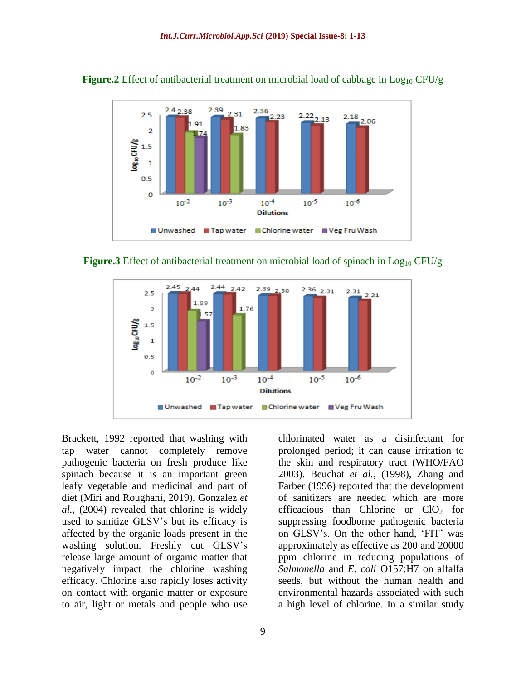

**Figure.2** Effect of antibacterial treatment on microbial load of cabbage in  $Log_{10} CFU/g$ 

**Figure.3** Effect of antibacterial treatment on microbial load of spinach in  $Log_{10} CFU/g$ 



Brackett, 1992 reported that washing with tap water cannot completely remove pathogenic bacteria on fresh produce like spinach because it is an important green leafy vegetable and medicinal and part of diet (Miri and Roughani, 2019). Gonzalez *et al.*, (2004) revealed that chlorine is widely used to sanitize GLSV's but its efficacy is affected by the organic loads present in the washing solution. Freshly cut GLSV's release large amount of organic matter that negatively impact the chlorine washing efficacy. Chlorine also rapidly loses activity on contact with organic matter or exposure to air, light or metals and people who use

chlorinated water as a disinfectant for prolonged period; it can cause irritation to the skin and respiratory tract (WHO/FAO 2003). Beuchat *et al.*, (1998), Zhang and Farber (1996) reported that the development of sanitizers are needed which are more efficacious than Chlorine or  $ClO<sub>2</sub>$  for suppressing foodborne pathogenic bacteria on GLSV's. On the other hand, 'FIT' was approximately as effective as 200 and 20000 ppm chlorine in reducing populations of *Salmonella* and *E. coli* O157:H7 on alfalfa seeds, but without the human health and environmental hazards associated with such a high level of chlorine. In a similar study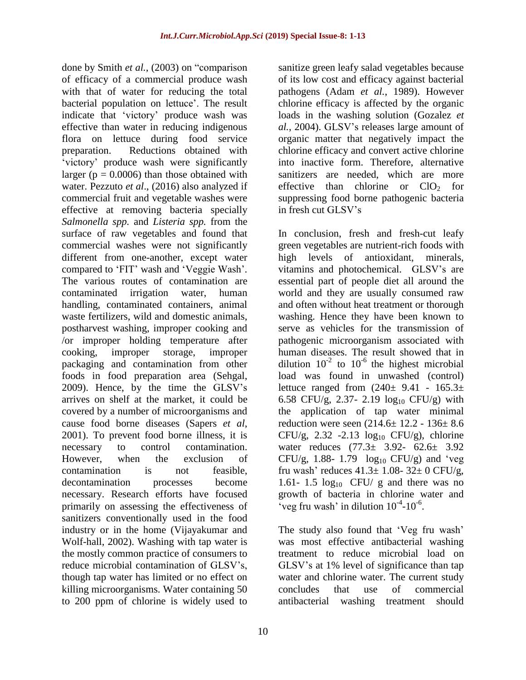done by Smith *et al.*, (2003) on "comparison of efficacy of a commercial produce wash with that of water for reducing the total bacterial population on lettuce'. The result indicate that 'victory' produce wash was effective than water in reducing indigenous flora on lettuce during food service preparation. Reductions obtained with 'victory' produce wash were significantly larger ( $p = 0.0006$ ) than those obtained with water. Pezzuto *et al*., (2016) also analyzed if commercial fruit and vegetable washes were effective at removing bacteria specially *Salmonella spp.* and *Listeria spp.* from the surface of raw vegetables and found that commercial washes were not significantly different from one-another, except water compared to 'FIT' wash and 'Veggie Wash'. The various routes of contamination are contaminated irrigation water, human handling, contaminated containers, animal waste fertilizers, wild and domestic animals, postharvest washing, improper cooking and /or improper holding temperature after cooking, improper storage, improper packaging and contamination from other foods in food preparation area (Sehgal, 2009). Hence, by the time the GLSV's arrives on shelf at the market, it could be covered by a number of microorganisms and cause food borne diseases (Sapers *et al*, 2001). To prevent food borne illness, it is necessary to control contamination. However, when the exclusion of contamination is not feasible, decontamination processes become necessary. Research efforts have focused primarily on assessing the effectiveness of sanitizers conventionally used in the food industry or in the home (Vijayakumar and Wolf-hall, 2002). Washing with tap water is the mostly common practice of consumers to reduce microbial contamination of GLSV's, though tap water has limited or no effect on killing microorganisms. Water containing 50 to 200 ppm of chlorine is widely used to

sanitize green leafy salad vegetables because of its low cost and efficacy against bacterial pathogens (Adam *et al.*, 1989). However chlorine efficacy is affected by the organic loads in the washing solution (Gozalez *et al.*, 2004). GLSV's releases large amount of organic matter that negatively impact the chlorine efficacy and convert active chlorine into inactive form. Therefore, alternative sanitizers are needed, which are more effective than chlorine or  $ClO<sub>2</sub>$  for suppressing food borne pathogenic bacteria in fresh cut GLSV's

In conclusion, fresh and fresh-cut leafy green vegetables are nutrient-rich foods with high levels of antioxidant, minerals, vitamins and photochemical. GLSV's are essential part of people diet all around the world and they are usually consumed raw and often without heat treatment or thorough washing. Hence they have been known to serve as vehicles for the transmission of pathogenic microorganism associated with human diseases. The result showed that in dilution  $10^{-2}$  to  $10^{-6}$  the highest microbial load was found in unwashed (control) lettuce ranged from  $(240 \pm 9.41 - 165.3 \pm 1)$ 6.58 CFU/g, 2.37- 2.19  $log_{10}$  CFU/g) with the application of tap water minimal reduction were seen  $(214.6 \pm 12.2 - 136 \pm 8.6)$ CFU/g,  $2.32 -2.13 \log_{10} CFU/g$ , chlorine water reduces (77.3± 3.92- 62.6± 3.92 CFU/g, 1.88- 1.79  $log_{10}$  CFU/g) and 'veg fru wash' reduces  $41.3 \pm 1.08 - 32 \pm 0$  CFU/g, 1.61- 1.5  $log_{10}$  CFU/ g and there was no growth of bacteria in chlorine water and 'veg fru wash' in dilution  $10^{-4}$ - $10^{-6}$ .

The study also found that 'Veg fru wash' was most effective antibacterial washing treatment to reduce microbial load on GLSV's at 1% level of significance than tap water and chlorine water. The current study concludes that use of commercial antibacterial washing treatment should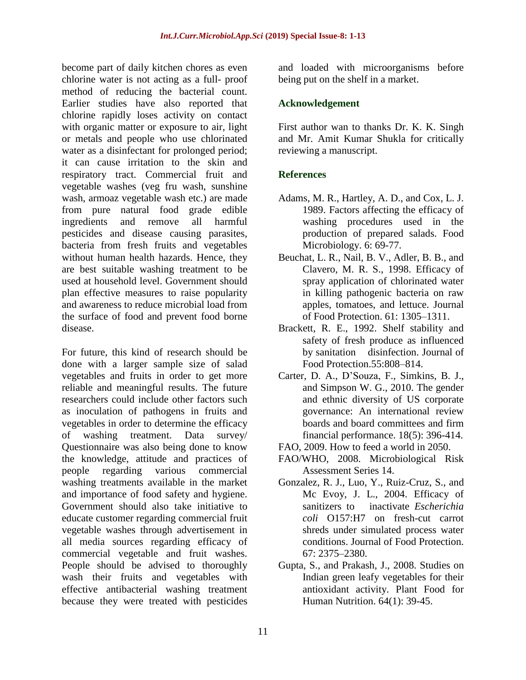become part of daily kitchen chores as even chlorine water is not acting as a full- proof method of reducing the bacterial count. Earlier studies have also reported that chlorine rapidly loses activity on contact with organic matter or exposure to air, light or metals and people who use chlorinated water as a disinfectant for prolonged period; it can cause irritation to the skin and respiratory tract. Commercial fruit and vegetable washes (veg fru wash, sunshine wash, armoaz vegetable wash etc.) are made from pure natural food grade edible ingredients and remove all harmful pesticides and disease causing parasites, bacteria from fresh fruits and vegetables without human health hazards. Hence, they are best suitable washing treatment to be used at household level. Government should plan effective measures to raise popularity and awareness to reduce microbial load from the surface of food and prevent food borne disease.

For future, this kind of research should be done with a larger sample size of salad vegetables and fruits in order to get more reliable and meaningful results. The future researchers could include other factors such as inoculation of pathogens in fruits and vegetables in order to determine the efficacy of washing treatment. Data survey/ Questionnaire was also being done to know the knowledge, attitude and practices of people regarding various commercial washing treatments available in the market and importance of food safety and hygiene. Government should also take initiative to educate customer regarding commercial fruit vegetable washes through advertisement in all media sources regarding efficacy of commercial vegetable and fruit washes. People should be advised to thoroughly wash their fruits and vegetables with effective antibacterial washing treatment because they were treated with pesticides

and loaded with microorganisms before being put on the shelf in a market.

### **Acknowledgement**

First author wan to thanks Dr. K. K. Singh and Mr. Amit Kumar Shukla for critically reviewing a manuscript.

# **References**

- Adams, M. R., Hartley, A. D., and Cox, L. J. 1989. Factors affecting the efficacy of washing procedures used in the production of prepared salads. Food Microbiology. 6: 69-77.
- Beuchat, L. R., Nail, B. V., Adler, B. B., and Clavero, M. R. S., 1998. Efficacy of spray application of chlorinated water in killing pathogenic bacteria on raw apples, tomatoes, and lettuce. Journal of Food Protection. 61: 1305–1311.
- Brackett, R. E., 1992. Shelf stability and safety of fresh produce as influenced by sanitation disinfection. Journal of Food Protection.55:808–814.
- Carter, D. A., D'Souza, F., Simkins, B. J., and Simpson W. G., 2010. The gender and ethnic diversity of US corporate governance: An international review boards and board committees and firm financial performance. 18(5): 396-414.
- FAO, 2009. How to feed a world in 2050.
- FAO/WHO, 2008. Microbiological Risk Assessment Series 14.
- Gonzalez, R. J., Luo, Y., Ruiz-Cruz, S., and Mc Evoy, J. L., 2004. Efficacy of sanitizers to inactivate *Escherichia coli* O157:H7 on fresh-cut carrot shreds under simulated process water conditions. Journal of Food Protection. 67: 2375–2380.
- Gupta, S., and Prakash, J., 2008. Studies on Indian green leafy vegetables for their antioxidant activity. Plant Food for Human Nutrition. 64(1): 39-45.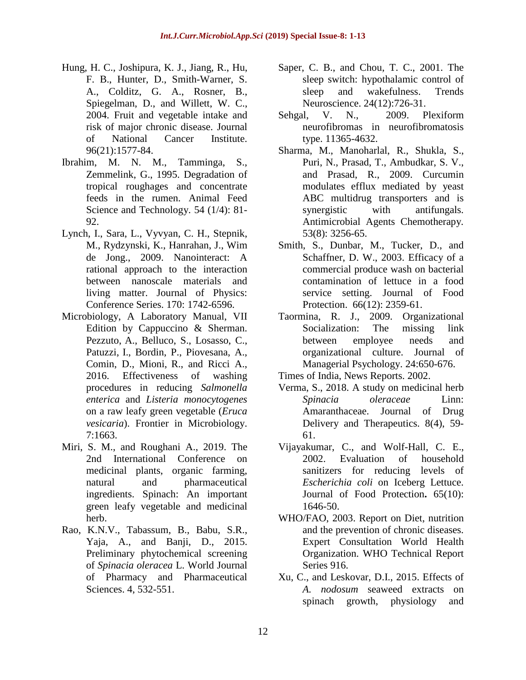- [Hung,](https://www.ncbi.nlm.nih.gov/pubmed/?term=Hung%20HC%5BAuthor%5D&cauthor=true&cauthor_uid=15523086) H. C., [Joshipura,](https://www.ncbi.nlm.nih.gov/pubmed/?term=Joshipura%20KJ%5BAuthor%5D&cauthor=true&cauthor_uid=15523086) K. J., [Jiang,](https://www.ncbi.nlm.nih.gov/pubmed/?term=Jiang%20R%5BAuthor%5D&cauthor=true&cauthor_uid=15523086) R., [Hu,](https://www.ncbi.nlm.nih.gov/pubmed/?term=Hu%20FB%5BAuthor%5D&cauthor=true&cauthor_uid=15523086) F. [B.](https://www.ncbi.nlm.nih.gov/pubmed/?term=Hu%20FB%5BAuthor%5D&cauthor=true&cauthor_uid=15523086), [Hunter,](https://www.ncbi.nlm.nih.gov/pubmed/?term=Hunter%20D%5BAuthor%5D&cauthor=true&cauthor_uid=15523086) D., [Smith-Warner,](https://www.ncbi.nlm.nih.gov/pubmed/?term=Smith-Warner%20SA%5BAuthor%5D&cauthor=true&cauthor_uid=15523086) S. [A.](https://www.ncbi.nlm.nih.gov/pubmed/?term=Smith-Warner%20SA%5BAuthor%5D&cauthor=true&cauthor_uid=15523086), [Colditz,](https://www.ncbi.nlm.nih.gov/pubmed/?term=Colditz%20GA%5BAuthor%5D&cauthor=true&cauthor_uid=15523086) G. A., [Rosner,](https://www.ncbi.nlm.nih.gov/pubmed/?term=Rosner%20B%5BAuthor%5D&cauthor=true&cauthor_uid=15523086) B., [Spiegelman,](https://www.ncbi.nlm.nih.gov/pubmed/?term=Spiegelman%20D%5BAuthor%5D&cauthor=true&cauthor_uid=15523086) D., and [Willett,](https://www.ncbi.nlm.nih.gov/pubmed/?term=Willett%20WC%5BAuthor%5D&cauthor=true&cauthor_uid=15523086) W. C., 2004. Fruit and vegetable intake and risk of major chronic disease. [Journal](https://www.ncbi.nlm.nih.gov/pubmed/15523086) of National Cancer [Institute.](https://www.ncbi.nlm.nih.gov/pubmed/15523086) 96(21):1577-84.
- Ibrahim, M. N. M., Tamminga, S., Zemmelink, G., 1995. Degradation of tropical roughages and concentrate feeds in the rumen. Animal Feed Science and Technology. 54 (1/4): 81- 92.
- Lynch, I., Sara, L., Vyvyan, C. H., Stepnik, M., Rydzynski, K., Hanrahan, J., Wim de Jong., 2009. Nanointeract: A rational approach to the interaction between nanoscale materials and living matter. Journal of Physics: Conference Series. 170: [1742-6596.](http://iopscience.iop.org/1742-6596/170/1/012040/cites)
- Microbiology, A Laboratory Manual, VII Edition by Cappuccino & Sherman. [Pezzuto,](https://www.ncbi.nlm.nih.gov/pubmed/?term=Pezzuto%20A%5BAuthor%5D&cauthor=true&cauthor_uid=27812356) A., [Belluco,](https://www.ncbi.nlm.nih.gov/pubmed/?term=Belluco%20S%5BAuthor%5D&cauthor=true&cauthor_uid=27812356) S., [Losasso,](https://www.ncbi.nlm.nih.gov/pubmed/?term=Losasso%20C%5BAuthor%5D&cauthor=true&cauthor_uid=27812356) C.[,](https://www.ncbi.nlm.nih.gov/pubmed/?term=Patuzzi%20I%5BAuthor%5D&cauthor=true&cauthor_uid=27812356) [Patuzzi,](https://www.ncbi.nlm.nih.gov/pubmed/?term=Patuzzi%20I%5BAuthor%5D&cauthor=true&cauthor_uid=27812356) I., [Bordin,](https://www.ncbi.nlm.nih.gov/pubmed/?term=Bordin%20P%5BAuthor%5D&cauthor=true&cauthor_uid=27812356) P., [Piovesana,](https://www.ncbi.nlm.nih.gov/pubmed/?term=Piovesana%20A%5BAuthor%5D&cauthor=true&cauthor_uid=27812356) A., [Comin,](https://www.ncbi.nlm.nih.gov/pubmed/?term=Comin%20D%5BAuthor%5D&cauthor=true&cauthor_uid=27812356) D., [Mioni,](https://www.ncbi.nlm.nih.gov/pubmed/?term=Mioni%20R%5BAuthor%5D&cauthor=true&cauthor_uid=27812356) R., and [Ricci](https://www.ncbi.nlm.nih.gov/pubmed/?term=Ricci%20A%5BAuthor%5D&cauthor=true&cauthor_uid=27812356) A., 2016. Effectiveness of washing procedures in reducing *Salmonella enterica* and *Listeria monocytogenes* on a raw leafy green vegetable (*Eruca vesicaria*). Frontier in [Microbiolo](https://www.ncbi.nlm.nih.gov/pmc/articles/PMC5071777/)gy. 7:1663.
- Miri, S. M., and Roughani A., 2019. The 2nd International Conference on medicinal plants, organic farming, natural and pharmaceutical ingredients. Spinach: An important green leafy vegetable and medicinal herb.
- Rao, K.N.V., Tabassum, B., Babu, S.R., Yaja, A., and Banji, D., 2015. Preliminary phytochemical screening of *Spinacia oleracea* L. World Journal of Pharmacy and Pharmaceutical Sciences. 4, 532-551.
- [Saper,](https://www.ncbi.nlm.nih.gov/pubmed/?term=Saper%20CB%5BAuthor%5D&cauthor=true&cauthor_uid=11718878) C. B., and [Chou,](https://www.ncbi.nlm.nih.gov/pubmed/?term=Chou%20TC%5BAuthor%5D&cauthor=true&cauthor_uid=11718878) T. C., 2001. The sleep switch: hypothalamic control of sleep and wakefulness. [Trends](https://www.ncbi.nlm.nih.gov/pubmed/11718878) [Neuroscience.](https://www.ncbi.nlm.nih.gov/pubmed/11718878) 24(12):726-31.
- [Sehgal,](https://onlinelibrary.wiley.com/action/doSearch?ContribAuthorStored=Sehgal%2C+Virendra+N) V. N., 2009. Plexiform neurofibromas in neurofibromatosis type. [11365-4632.](https://doi.org/10.1111/j.1365-4632.2008.04041.x)
- [Sharma,](https://www.yeastgenome.org/author/Sharma_M) M., [Manoharlal,](https://www.yeastgenome.org/author/Manoharlal_R) R., [Shukla,](https://www.yeastgenome.org/author/Shukla_S) S., [Puri,](https://www.yeastgenome.org/author/Puri_N) N., [Prasad,](https://www.yeastgenome.org/author/Prasad_T) T., [Ambudkar,](https://www.yeastgenome.org/author/Ambudkar_SV) S. V., and [Prasad,](https://www.yeastgenome.org/author/Prasad_R) R., 2009. Curcumin modulates efflux mediated by yeast ABC multidrug transporters and is synergistic with antifungals. Antimicrobial Agents Chemotherapy*.* 53(8): 3256-65.
- [Smith,](https://www.ncbi.nlm.nih.gov/pubmed/?term=Smith%20S%5BAuthor%5D&cauthor=true&cauthor_uid=14672238) S., [Dunbar,](https://www.ncbi.nlm.nih.gov/pubmed/?term=Dunbar%20M%5BAuthor%5D&cauthor=true&cauthor_uid=14672238) M., [Tucker,](https://www.ncbi.nlm.nih.gov/pubmed/?term=Tucker%20D%5BAuthor%5D&cauthor=true&cauthor_uid=14672238) D., and [Schaffner,](https://www.ncbi.nlm.nih.gov/pubmed/?term=Schaffner%20DW%5BAuthor%5D&cauthor=true&cauthor_uid=14672238) D. W., 2003. Efficacy of a commercial produce wash on bacterial contamination of lettuce in a food service setting. Journal of Food Protection. 66(12): 2359-61.
- Taormina, R. J., 2009. Organizational Socialization: The missing link between employee needs and organizational culture. Journal of Managerial Psychology. 24:650-676.

Times of India, News Reports. 2002.

- Verma, S., 2018. A study on medicinal herb *Spinacia oleraceae* Linn: Amaranthaceae. Journal of Drug Delivery and Therapeutics. 8(4), 59- 61.
- [Vijayakumar,](https://www.researchgate.net/scientific-contributions/10179968_Chitra_Vijayakumar) C., and Wolf-Hall, C. [E.,](https://www.researchgate.net/scientific-contributions/9495417_Charlene_E_Wolf-Hall) 2002. [Evaluation](https://www.researchgate.net/journal/0362-028X_Journal_of_food_protection) of household [sanitizers](https://www.researchgate.net/journal/0362-028X_Journal_of_food_protection) for reducing levels of *[Escherichia](https://www.researchgate.net/journal/0362-028X_Journal_of_food_protection) coli* on Iceberg Lettuce. Journal of Food [Protection](https://www.researchgate.net/journal/0362-028X_Journal_of_food_protection)**.** 65(10): 1646-50.
- WHO/FAO, 2003. Report on Diet, nutrition and the prevention of chronic diseases. Expert Consultation World Health Organization. WHO Technical Report Series 916.
- Xu, C., and Leskovar, D.I., 2015. Effects of *A. nodosum* seaweed extracts on spinach growth, physiology and